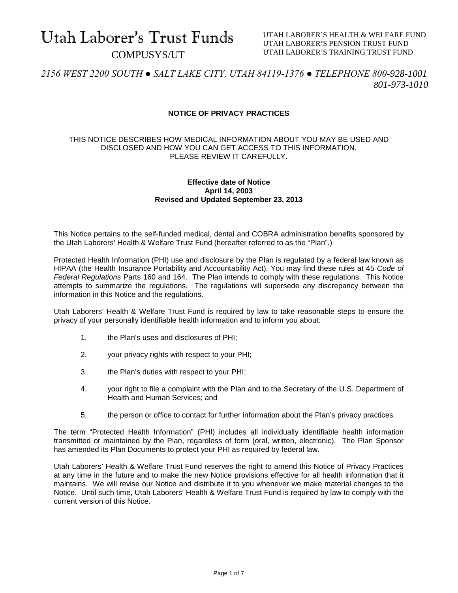# Utah Laborer's Trust Funds COMPUSYS/UT

UTAH LABORER'S HEALTH & WELFARE FUND UTAH LABORER'S PENSION TRUST FUND UTAH LABORER'S TRAINING TRUST FUND

*2156 WEST 2200 SOUTH ● SALT LAKE CITY, UTAH 84119-1376 ● TELEPHONE 800-928-1001 801-973-1010*

# **NOTICE OF PRIVACY PRACTICES**

## THIS NOTICE DESCRIBES HOW MEDICAL INFORMATION ABOUT YOU MAY BE USED AND DISCLOSED AND HOW YOU CAN GET ACCESS TO THIS INFORMATION. PLEASE REVIEW IT CAREFULLY.

## **Effective date of Notice April 14, 2003 Revised and Updated September 23, 2013**

This Notice pertains to the self-funded medical, dental and COBRA administration benefits sponsored by the Utah Laborers' Health & Welfare Trust Fund (hereafter referred to as the "Plan".)

Protected Health Information (PHI) use and disclosure by the Plan is regulated by a federal law known as HIPAA (the Health Insurance Portability and Accountability Act). You may find these rules at 45 *Code of Federal Regulations* Parts 160 and 164. The Plan intends to comply with these regulations. This Notice attempts to summarize the regulations. The regulations will supersede any discrepancy between the information in this Notice and the regulations.

Utah Laborers' Health & Welfare Trust Fund is required by law to take reasonable steps to ensure the privacy of your personally identifiable health information and to inform you about:

- 1. the Plan's uses and disclosures of PHI;
- 2. your privacy rights with respect to your PHI;
- 3. the Plan's duties with respect to your PHI;
- 4. your right to file a complaint with the Plan and to the Secretary of the U.S. Department of Health and Human Services; and
- 5. the person or office to contact for further information about the Plan's privacy practices.

The term "Protected Health Information" (PHI) includes all individually identifiable health information transmitted or maintained by the Plan, regardless of form (oral, written, electronic). The Plan Sponsor has amended its Plan Documents to protect your PHI as required by federal law.

Utah Laborers' Health & Welfare Trust Fund reserves the right to amend this Notice of Privacy Practices at any time in the future and to make the new Notice provisions effective for all health information that it maintains. We will revise our Notice and distribute it to you whenever we make material changes to the Notice. Until such time, Utah Laborers' Health & Welfare Trust Fund is required by law to comply with the current version of this Notice.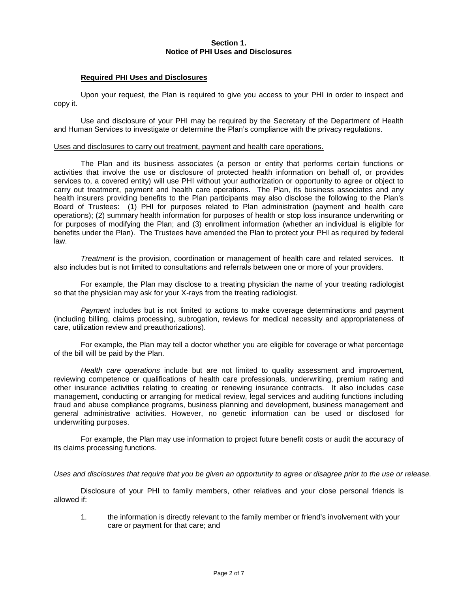## **Section 1. Notice of PHI Uses and Disclosures**

## **Required PHI Uses and Disclosures**

Upon your request, the Plan is required to give you access to your PHI in order to inspect and copy it.

Use and disclosure of your PHI may be required by the Secretary of the Department of Health and Human Services to investigate or determine the Plan's compliance with the privacy regulations.

#### Uses and disclosures to carry out treatment, payment and health care operations.

The Plan and its business associates (a person or entity that performs certain functions or activities that involve the use or disclosure of protected health information on behalf of, or provides services to, a covered entity) will use PHI without your authorization or opportunity to agree or object to carry out treatment, payment and health care operations. The Plan, its business associates and any health insurers providing benefits to the Plan participants may also disclose the following to the Plan's Board of Trustees: (1) PHI for purposes related to Plan administration (payment and health care operations); (2) summary health information for purposes of health or stop loss insurance underwriting or for purposes of modifying the Plan; and (3) enrollment information (whether an individual is eligible for benefits under the Plan). The Trustees have amended the Plan to protect your PHI as required by federal law.

*Treatment* is the provision, coordination or management of health care and related services. It also includes but is not limited to consultations and referrals between one or more of your providers.

For example, the Plan may disclose to a treating physician the name of your treating radiologist so that the physician may ask for your X-rays from the treating radiologist.

*Payment* includes but is not limited to actions to make coverage determinations and payment (including billing, claims processing, subrogation, reviews for medical necessity and appropriateness of care, utilization review and preauthorizations).

For example, the Plan may tell a doctor whether you are eligible for coverage or what percentage of the bill will be paid by the Plan.

*Health care operations* include but are not limited to quality assessment and improvement, reviewing competence or qualifications of health care professionals, underwriting, premium rating and other insurance activities relating to creating or renewing insurance contracts. It also includes case management, conducting or arranging for medical review, legal services and auditing functions including fraud and abuse compliance programs, business planning and development, business management and general administrative activities. However, no genetic information can be used or disclosed for underwriting purposes.

For example, the Plan may use information to project future benefit costs or audit the accuracy of its claims processing functions.

#### *Uses and disclosures that require that you be given an opportunity to agree or disagree prior to the use or release.*

Disclosure of your PHI to family members, other relatives and your close personal friends is allowed if:

1. the information is directly relevant to the family member or friend's involvement with your care or payment for that care; and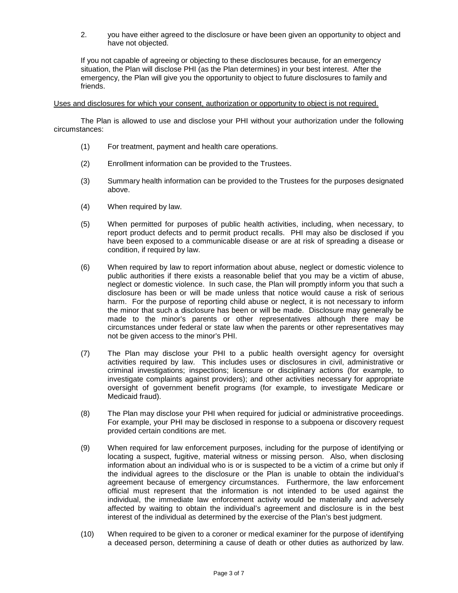2. you have either agreed to the disclosure or have been given an opportunity to object and have not objected.

If you not capable of agreeing or objecting to these disclosures because, for an emergency situation, the Plan will disclose PHI (as the Plan determines) in your best interest. After the emergency, the Plan will give you the opportunity to object to future disclosures to family and friends.

Uses and disclosures for which your consent, authorization or opportunity to object is not required.

The Plan is allowed to use and disclose your PHI without your authorization under the following circumstances:

- (1) For treatment, payment and health care operations.
- (2) Enrollment information can be provided to the Trustees.
- (3) Summary health information can be provided to the Trustees for the purposes designated above.
- (4) When required by law.
- (5) When permitted for purposes of public health activities, including, when necessary, to report product defects and to permit product recalls. PHI may also be disclosed if you have been exposed to a communicable disease or are at risk of spreading a disease or condition, if required by law.
- (6) When required by law to report information about abuse, neglect or domestic violence to public authorities if there exists a reasonable belief that you may be a victim of abuse, neglect or domestic violence. In such case, the Plan will promptly inform you that such a disclosure has been or will be made unless that notice would cause a risk of serious harm. For the purpose of reporting child abuse or neglect, it is not necessary to inform the minor that such a disclosure has been or will be made. Disclosure may generally be made to the minor's parents or other representatives although there may be circumstances under federal or state law when the parents or other representatives may not be given access to the minor's PHI.
- (7) The Plan may disclose your PHI to a public health oversight agency for oversight activities required by law. This includes uses or disclosures in civil, administrative or criminal investigations; inspections; licensure or disciplinary actions (for example, to investigate complaints against providers); and other activities necessary for appropriate oversight of government benefit programs (for example, to investigate Medicare or Medicaid fraud).
- (8) The Plan may disclose your PHI when required for judicial or administrative proceedings. For example, your PHI may be disclosed in response to a subpoena or discovery request provided certain conditions are met.
- (9) When required for law enforcement purposes, including for the purpose of identifying or locating a suspect, fugitive, material witness or missing person. Also, when disclosing information about an individual who is or is suspected to be a victim of a crime but only if the individual agrees to the disclosure or the Plan is unable to obtain the individual's agreement because of emergency circumstances. Furthermore, the law enforcement official must represent that the information is not intended to be used against the individual, the immediate law enforcement activity would be materially and adversely affected by waiting to obtain the individual's agreement and disclosure is in the best interest of the individual as determined by the exercise of the Plan's best judgment.
- (10) When required to be given to a coroner or medical examiner for the purpose of identifying a deceased person, determining a cause of death or other duties as authorized by law.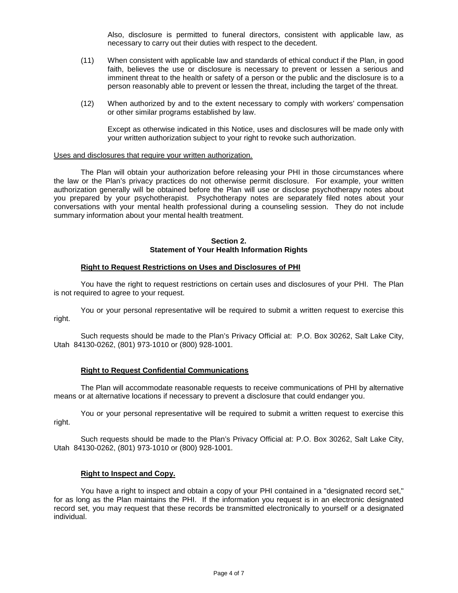Also, disclosure is permitted to funeral directors, consistent with applicable law, as necessary to carry out their duties with respect to the decedent.

- (11) When consistent with applicable law and standards of ethical conduct if the Plan, in good faith, believes the use or disclosure is necessary to prevent or lessen a serious and imminent threat to the health or safety of a person or the public and the disclosure is to a person reasonably able to prevent or lessen the threat, including the target of the threat.
- (12) When authorized by and to the extent necessary to comply with workers' compensation or other similar programs established by law.

Except as otherwise indicated in this Notice, uses and disclosures will be made only with your written authorization subject to your right to revoke such authorization.

#### Uses and disclosures that require your written authorization.

The Plan will obtain your authorization before releasing your PHI in those circumstances where the law or the Plan's privacy practices do not otherwise permit disclosure. For example, your written authorization generally will be obtained before the Plan will use or disclose psychotherapy notes about you prepared by your psychotherapist. Psychotherapy notes are separately filed notes about your conversations with your mental health professional during a counseling session. They do not include summary information about your mental health treatment.

## **Section 2. Statement of Your Health Information Rights**

### **Right to Request Restrictions on Uses and Disclosures of PHI**

You have the right to request restrictions on certain uses and disclosures of your PHI. The Plan is not required to agree to your request.

You or your personal representative will be required to submit a written request to exercise this right.

Such requests should be made to the Plan's Privacy Official at: P.O. Box 30262, Salt Lake City, Utah 84130-0262, (801) 973-1010 or (800) 928-1001.

## **Right to Request Confidential Communications**

The Plan will accommodate reasonable requests to receive communications of PHI by alternative means or at alternative locations if necessary to prevent a disclosure that could endanger you.

You or your personal representative will be required to submit a written request to exercise this right.

Such requests should be made to the Plan's Privacy Official at: P.O. Box 30262, Salt Lake City, Utah 84130-0262, (801) 973-1010 or (800) 928-1001.

#### **Right to Inspect and Copy.**

You have a right to inspect and obtain a copy of your PHI contained in a "designated record set," for as long as the Plan maintains the PHI. If the information you request is in an electronic designated record set, you may request that these records be transmitted electronically to yourself or a designated individual.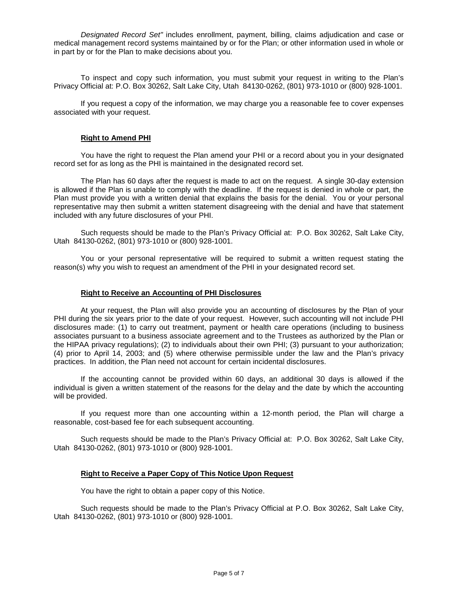*Designated Record Set"* includes enrollment, payment, billing, claims adjudication and case or medical management record systems maintained by or for the Plan; or other information used in whole or in part by or for the Plan to make decisions about you.

To inspect and copy such information, you must submit your request in writing to the Plan's Privacy Official at: P.O. Box 30262, Salt Lake City, Utah 84130-0262, (801) 973-1010 or (800) 928-1001.

If you request a copy of the information, we may charge you a reasonable fee to cover expenses associated with your request.

## **Right to Amend PHI**

You have the right to request the Plan amend your PHI or a record about you in your designated record set for as long as the PHI is maintained in the designated record set.

The Plan has 60 days after the request is made to act on the request. A single 30-day extension is allowed if the Plan is unable to comply with the deadline. If the request is denied in whole or part, the Plan must provide you with a written denial that explains the basis for the denial. You or your personal representative may then submit a written statement disagreeing with the denial and have that statement included with any future disclosures of your PHI.

Such requests should be made to the Plan's Privacy Official at: P.O. Box 30262, Salt Lake City, Utah 84130-0262, (801) 973-1010 or (800) 928-1001.

You or your personal representative will be required to submit a written request stating the reason(s) why you wish to request an amendment of the PHI in your designated record set.

#### **Right to Receive an Accounting of PHI Disclosures**

At your request, the Plan will also provide you an accounting of disclosures by the Plan of your PHI during the six years prior to the date of your request. However, such accounting will not include PHI disclosures made: (1) to carry out treatment, payment or health care operations (including to business associates pursuant to a business associate agreement and to the Trustees as authorized by the Plan or the HIPAA privacy regulations); (2) to individuals about their own PHI; (3) pursuant to your authorization; (4) prior to April 14, 2003; and (5) where otherwise permissible under the law and the Plan's privacy practices. In addition, the Plan need not account for certain incidental disclosures.

If the accounting cannot be provided within 60 days, an additional 30 days is allowed if the individual is given a written statement of the reasons for the delay and the date by which the accounting will be provided.

If you request more than one accounting within a 12-month period, the Plan will charge a reasonable, cost-based fee for each subsequent accounting.

Such requests should be made to the Plan's Privacy Official at: P.O. Box 30262, Salt Lake City, Utah 84130-0262, (801) 973-1010 or (800) 928-1001.

## **Right to Receive a Paper Copy of This Notice Upon Request**

You have the right to obtain a paper copy of this Notice.

Such requests should be made to the Plan's Privacy Official at P.O. Box 30262, Salt Lake City, Utah 84130-0262, (801) 973-1010 or (800) 928-1001.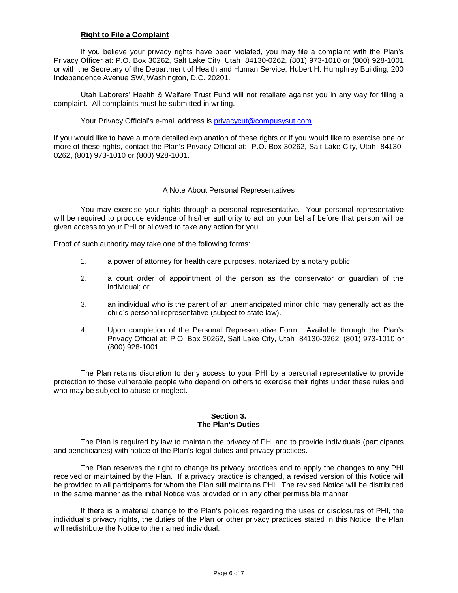## **Right to File a Complaint**

If you believe your privacy rights have been violated, you may file a complaint with the Plan's Privacy Officer at: P.O. Box 30262, Salt Lake City, Utah 84130-0262, (801) 973-1010 or (800) 928-1001 or with the Secretary of the Department of Health and Human Service, Hubert H. Humphrey Building, 200 Independence Avenue SW, Washington, D.C. 20201.

Utah Laborers' Health & Welfare Trust Fund will not retaliate against you in any way for filing a complaint. All complaints must be submitted in writing.

Your Privacy Official's e-mail address is [privacycut@compusysut.com](mailto:privacycut@compusysut.com)

If you would like to have a more detailed explanation of these rights or if you would like to exercise one or more of these rights, contact the Plan's Privacy Official at: P.O. Box 30262, Salt Lake City, Utah 84130- 0262, (801) 973-1010 or (800) 928-1001.

## A Note About Personal Representatives

You may exercise your rights through a personal representative. Your personal representative will be required to produce evidence of his/her authority to act on your behalf before that person will be given access to your PHI or allowed to take any action for you.

Proof of such authority may take one of the following forms:

- 1. a power of attorney for health care purposes, notarized by a notary public;
- 2. a court order of appointment of the person as the conservator or guardian of the individual; or
- 3. an individual who is the parent of an unemancipated minor child may generally act as the child's personal representative (subject to state law).
- 4. Upon completion of the Personal Representative Form. Available through the Plan's Privacy Official at: P.O. Box 30262, Salt Lake City, Utah 84130-0262, (801) 973-1010 or (800) 928-1001.

The Plan retains discretion to deny access to your PHI by a personal representative to provide protection to those vulnerable people who depend on others to exercise their rights under these rules and who may be subject to abuse or neglect.

#### **Section 3. The Plan's Duties**

The Plan is required by law to maintain the privacy of PHI and to provide individuals (participants and beneficiaries) with notice of the Plan's legal duties and privacy practices.

The Plan reserves the right to change its privacy practices and to apply the changes to any PHI received or maintained by the Plan. If a privacy practice is changed, a revised version of this Notice will be provided to all participants for whom the Plan still maintains PHI. The revised Notice will be distributed in the same manner as the initial Notice was provided or in any other permissible manner.

If there is a material change to the Plan's policies regarding the uses or disclosures of PHI, the individual's privacy rights, the duties of the Plan or other privacy practices stated in this Notice, the Plan will redistribute the Notice to the named individual.